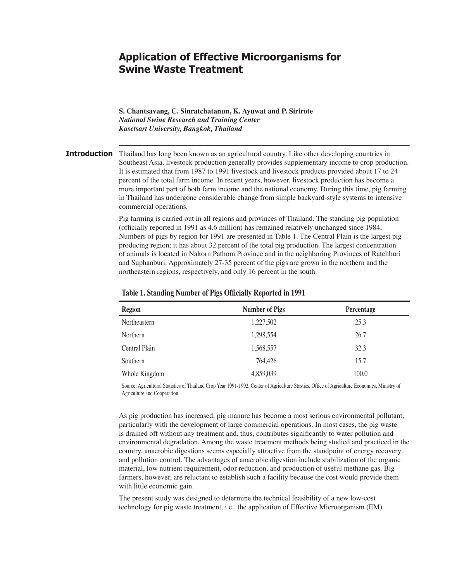# **Application of Effective Microorganisms for Swine Waste Treatment**

**S. Chantsavang, C. Sinratchatanun, K. Ayuwat and P. Sirirote** *National Swine Research and Training Center Kasetsart University, Bangkok, Thailand*

### Introduction Thailand has long been known as an agricultural country. Like other developing countries in Southeast Asia, livestock production generally provides supplementary income to crop production. It is estimated that from 1987 to 1991 livestock and livestock products provided about 17 to 24 percent of the total farm income. In recent years, however, livestock production has become a more important part of both farm income and the national economy. During this time, pig farming in Thailand has undergone considerable change from simple backyard-style systems to intensive commercial operations.

Pig farming is carried out in all regions and provinces of Thailand. The standing pig population (officially reported in 1991 as 4.6 million) has remained relatively unchanged since 1984, Numbers of pigs by region for 1991 are presented in Table 1. The Central Plain is the largest pig producing region; it has about 32 percent of the total pig production. The largest concentration of animals is located in Nakorn Pathom Province and in the neighboring Provinces of Ratchburi and Suphanburi. Approximately 27-35 percent of the pigs are grown in the northern and the northeastern regions, respectively, and only 16 percent in the south.

**––––––––––––––––––––––––––––––––––––––––––––––––––––––––––––––––––––––––**

| <b>Region</b> | <b>Number of Pigs</b> | Percentage |
|---------------|-----------------------|------------|
| Northeastern  | 1,227,502             | 25.3       |
| Northern      | 1,298,554             | 26.7       |
| Central Plain | 1,568,557             | 32.3       |
| Southern      | 764,426               | 15.7       |
| Whole Kingdom | 4,859,039             | 100.0      |

#### **Table 1. Standing Number of Pigs Officially Reported in 1991**

Source: Agricultural Statistics of Thailand Crop Year 1991-1992. Center of Agriculture Stastics, Office of Agriculture Economics, Ministry of Agriculture and Cooperation.

As pig production has increased, pig manure has become a most serious environmental pollutant, particularly with the development of large commercial operations. In most cases, the pig waste is drained off without any treatment and, thus, contributes significantly to water pollution and environmental degradation. Among the waste treatment methods being studied and practiced in the country, anaerobic digestions seems especially attractive from the standpoint of energy recovery and pollution control. The advantages of anaerobic digestion include stabilization of the organic material, low nutrient requirement, odor reduction, and production of useful methane gas. Big farmers, however, are reluctant to establish such a facility because the cost would provide them with little economic gain.

The present study was designed to determine the technical feasibility of a new low-cost technology for pig waste treatment, i.e., the application of Effective Microorganism (EM).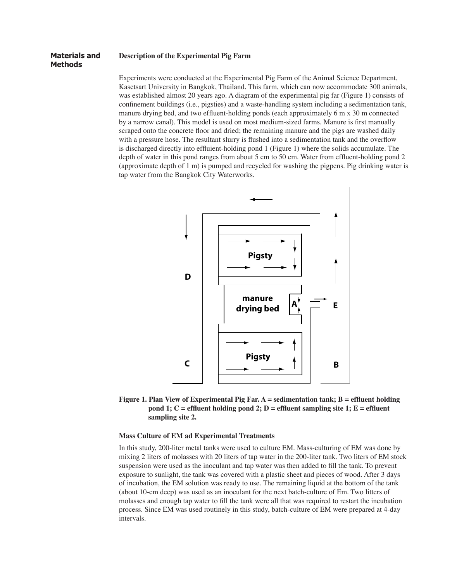#### **Description of the Experimental Pig Farm Materials and**

## **Methods**

Experiments were conducted at the Experimental Pig Farm of the Animal Science Department, Kasetsart University in Bangkok, Thailand. This farm, which can now accommodate 300 animals, was established almost 20 years ago. A diagram of the experimental pig far (Figure 1) consists of confinement buildings (i.e., pigsties) and a waste-handling system including a sedimentation tank, manure drying bed, and two effluent-holding ponds (each approximately 6 m x 30 m connected by a narrow canal). This model is used on most medium-sized farms. Manure is first manually scraped onto the concrete floor and dried; the remaining manure and the pigs are washed daily with a pressure hose. The resultant slurry is flushed into a sedimentation tank and the overflow is discharged directly into effluient-holding pond 1 (Figure 1) where the solids accumulate. The depth of water in this pond ranges from about 5 cm to 50 cm. Water from effluent-holding pond 2 (approximate depth of 1 m) is pumped and recycled for washing the pigpens. Pig drinking water is tap water from the Bangkok City Waterworks.





#### **Mass Culture of EM ad Experimental Treatments**

In this study, 200-liter metal tanks were used to culture EM. Mass-culturing of EM was done by mixing 2 liters of molasses with 20 liters of tap water in the 200-liter tank. Two liters of EM stock suspension were used as the inoculant and tap water was then added to fill the tank. To prevent exposure to sunlight, the tank was covered with a plastic sheet and pieces of wood. After 3 days of incubation, the EM solution was ready to use. The remaining liquid at the bottom of the tank (about 10-cm deep) was used as an inoculant for the next batch-culture of Em. Two litters of molasses and enough tap water to fill the tank were all that was required to restart the incubation process. Since EM was used routinely in this study, batch-culture of EM were prepared at 4-day intervals.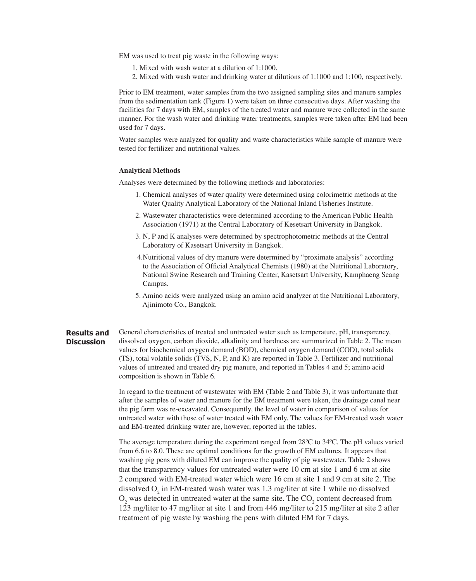EM was used to treat pig waste in the following ways:

- 1. Mixed with wash water at a dilution of 1:1000.
- 2. Mixed with wash water and drinking water at dilutions of 1:1000 and 1:100, respectively.

Prior to EM treatment, water samples from the two assigned sampling sites and manure samples from the sedimentation tank (Figure 1) were taken on three consecutive days. After washing the facilities for 7 days with EM, samples of the treated water and manure were collected in the same manner. For the wash water and drinking water treatments, samples were taken after EM had been used for 7 days.

Water samples were analyzed for quality and waste characteristics while sample of manure were tested for fertilizer and nutritional values.

#### **Analytical Methods**

Analyses were determined by the following methods and laboratories:

- 1. Chemical analyses of water quality were determined using colorimetric methods at the Water Quality Analytical Laboratory of the National Inland Fisheries Institute.
- 2. Wastewater characteristics were determined according to the American Public Health Association (1971) at the Central Laboratory of Kesetsart University in Bangkok.
- 3. N, P and K analyses were determined by spectrophotometric methods at the Central Laboratory of Kasetsart University in Bangkok.
- 4. Nutritional values of dry manure were determined by "proximate analysis" according to the Association of Official Analytical Chemists (1980) at the Nutritional Laboratory, National Swine Research and Training Center, Kasetsart University, Kamphaeng Seang Campus.
- 5. Amino acids were analyzed using an amino acid analyzer at the Nutritional Laboratory, Ajinimoto Co., Bangkok.
- General characteristics of treated and untreated water such as temperature, pH, transparency, dissolved oxygen, carbon dioxide, alkalinity and hardness are summarized in Table 2. The mean values for biochemical oxygen demand (BOD), chemical oxygen demand (COD), total solids (TS), total volatile solids (TVS, N, P, and K) are reported in Table 3. Fertilizer and nutritional values of untreated and treated dry pig manure, and reported in Tables 4 and 5; amino acid composition is shown in Table 6. **Results and Discussion**

In regard to the treatment of wastewater with EM (Table 2 and Table 3), it was unfortunate that after the samples of water and manure for the EM treatment were taken, the drainage canal near the pig farm was re-excavated. Consequently, the level of water in comparison of values for untreated water with those of water treated with EM only. The values for EM-treated wash water and EM-treated drinking water are, however, reported in the tables.

The average temperature during the experiment ranged from 28ºC to 34ºC. The pH values varied from 6.6 to 8.0. These are optimal conditions for the growth of EM cultures. It appears that washing pig pens with diluted EM can improve the quality of pig wastewater. Table 2 shows that the transparency values for untreated water were 10 cm at site 1 and 6 cm at site 2 compared with EM-treated water which were 16 cm at site 1 and 9 cm at site 2. The dissolved  $O_2$  in EM-treated wash water was 1.3 mg/liter at site 1 while no dissolved  $O_2$  was detected in untreated water at the same site. The  $CO_2$  content decreased from 123 mg/liter to 47 mg/liter at site 1 and from 446 mg/liter to 215 mg/liter at site 2 after treatment of pig waste by washing the pens with diluted EM for 7 days.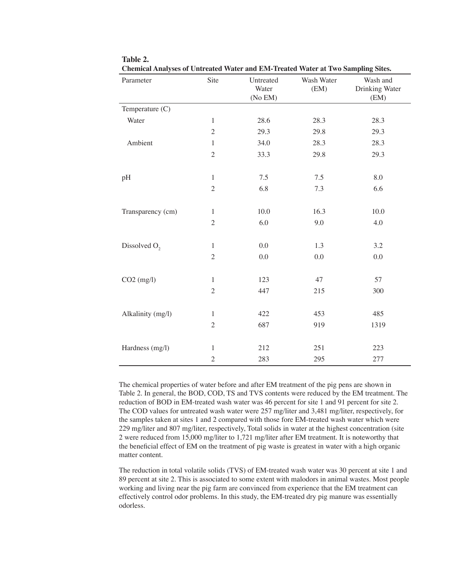| Parameter         | Site           | Untreated<br>Water<br>(No EM) | Wash Water<br>(EM) | Wash and<br>Drinking Water<br>(EM) |
|-------------------|----------------|-------------------------------|--------------------|------------------------------------|
| Temperature (C)   |                |                               |                    |                                    |
| Water             | $\mathbf{1}$   | 28.6                          | 28.3               | 28.3                               |
|                   | $\sqrt{2}$     | 29.3                          | 29.8               | 29.3                               |
| Ambient           | $\mathbf{1}$   | 34.0                          | 28.3               | 28.3                               |
|                   | $\sqrt{2}$     | 33.3                          | 29.8               | 29.3                               |
| pH                | $\mathbf{1}$   | 7.5                           | 7.5                | 8.0                                |
|                   | $\mathfrak{2}$ | 6.8                           | 7.3                | 6.6                                |
| Transparency (cm) | $\mathbf{1}$   | 10.0                          | 16.3               | 10.0                               |
|                   | $\mathfrak{2}$ | 6.0                           | 9.0                | 4.0                                |
| Dissolved $O2$    | $\mathbf{1}$   | 0.0                           | 1.3                | 3.2                                |
|                   | $\overline{2}$ | 0.0                           | 0.0                | 0.0                                |
| $CO2$ (mg/l)      | $\mathbf{1}$   | 123                           | 47                 | 57                                 |
|                   | $\sqrt{2}$     | 447                           | 215                | 300                                |
| Alkalinity (mg/l) | $\mathbf{1}$   | 422                           | 453                | 485                                |
|                   | $\sqrt{2}$     | 687                           | 919                | 1319                               |
| Hardness (mg/l)   | 1              | 212                           | 251                | 223                                |
|                   | $\sqrt{2}$     | 283                           | 295                | 277                                |

**Table 2. Chemical Analyses of Untreated Water and EM-Treated Water at Two Sampling Sites.**

The chemical properties of water before and after EM treatment of the pig pens are shown in Table 2. In general, the BOD, COD, TS and TVS contents were reduced by the EM treatment. The reduction of BOD in EM-treated wash water was 46 percent for site 1 and 91 percent for site 2. The COD values for untreated wash water were 257 mg/liter and 3,481 mg/liter, respectively, for the samples taken at sites 1 and 2 compared with those fore EM-treated wash water which were 229 mg/liter and 807 mg/liter, respectively, Total solids in water at the highest concentration (site 2 were reduced from 15,000 mg/liter to 1,721 mg/liter after EM treatment. It is noteworthy that the beneficial effect of EM on the treatment of pig waste is greatest in water with a high organic matter content.

The reduction in total volatile solids (TVS) of EM-treated wash water was 30 percent at site 1 and 89 percent at site 2. This is associated to some extent with malodors in animal wastes. Most people working and living near the pig farm are convinced from experience that the EM treatment can effectively control odor problems. In this study, the EM-treated dry pig manure was essentially odorless.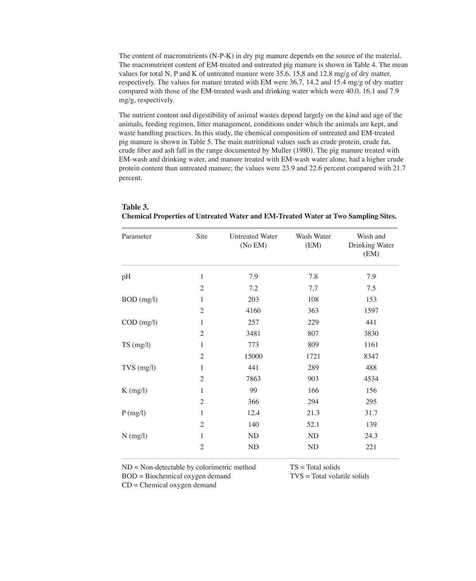The content of macronutrients (N-P-K) in dry pig manure depends on the source of the material. The macronutrient content of EM-treated and untreated pig manure is shown in Table 4. The mean values for total N, P and K of untreated manure were 35.6, 15,8 and 12.8 mg/g of dry matter, respectively. The values for mature treated with EM were 36.7, 14.2 and 15.4 mg/g of dry matter compared with those of the EM-treated wash and drinking water which were 40.0, 16.1 and 7.9 mg/g, respectively.

The nutrient content and digestibility of animal wastes depend largely on the kind and age of the animals, feeding regimen, litter management, conditions under which the animals are kept, and waste handling practices. In this study, the chemical composition of untreated and EM-treated pig manure is shown in Table 5. The main nutritional values such as crude protein, crude fat, crude fiber and ash fall in the range documented by Muller (1980). The pig manure treated with EM-wash and drinking water, and manure treated with EM-wash water alone, had a higher crude protein content than untreated manure; the values were 23.9 and 22.6 percent compared with 21.7 percent.

| Parameter           | Site           | <b>Untreated Water</b><br>(No EM) | Wash Water<br>(EM) | Wash and<br>Drinking Water<br>(EM) |
|---------------------|----------------|-----------------------------------|--------------------|------------------------------------|
| pH                  | 1              | 7.9                               | 7.8                | 7.9                                |
|                     | $\mathfrak{2}$ | 7.2                               | 7,7                | 7.5                                |
| $BOD$ (mg/l)        | 1              | 203                               | 108                | 153                                |
|                     | $\mathfrak{2}$ | 4160                              | 363                | 1597                               |
| $COD$ (mg/l)        | 1              | 257                               | 229                | 441                                |
|                     | $\mathfrak{2}$ | 3481                              | 807                | 3830                               |
| $TS \text{ (mg/l)}$ | 1              | 773                               | 809                | 1161                               |
|                     | $\mathfrak{2}$ | 15000                             | 1721               | 8347                               |
| $TVS$ (mg/l)        | 1              | 441                               | 289                | 488                                |
|                     | $\mathfrak{2}$ | 7863                              | 903                | 4534                               |
| $K$ (mg/l)          | 1              | 99                                | 166                | 156                                |
|                     | $\mathfrak{2}$ | 366                               | 294                | 295                                |
| P(mg/l)             | 1              | 12.4                              | 21.3               | 31.7                               |
|                     | $\overline{2}$ | 140                               | 52.1               | 139                                |
| $N$ (mg/l)          | 1              | <b>ND</b>                         | N <sub>D</sub>     | 24.3                               |
|                     | $\mathfrak{2}$ | ND                                | ND                 | 221                                |

### **Table 3. Chemical Properties of Untreated Water and EM-Treated Water at Two Sampling Sites. \_\_\_\_\_\_\_\_\_\_\_\_\_\_\_\_\_\_\_\_\_\_\_\_\_\_\_\_\_\_\_\_\_\_\_\_\_\_\_\_\_\_\_\_\_\_\_\_\_\_\_\_\_\_\_\_\_\_\_\_\_\_\_\_\_\_\_\_\_\_\_\_\_\_\_**

ND = Non-detectable by colorimetric method

TS = Total solids

BOD = Biochemical oxygen demand

CD = Chemical oxygen demand

TVS = Total volatile solids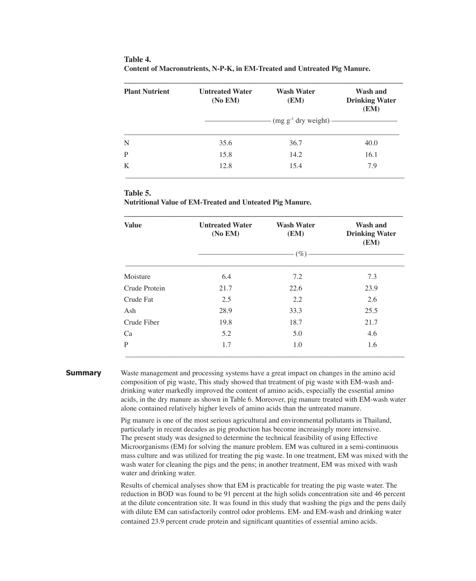| <b>Plant Nutrient</b> | <b>Untreated Water</b><br>(No EM) | <b>Wash Water</b><br>(EM)                 | Wash and<br><b>Drinking Water</b><br>(EM) |
|-----------------------|-----------------------------------|-------------------------------------------|-------------------------------------------|
|                       |                                   | $\cdot$ (mg g <sup>-1</sup> dry weight) — |                                           |
| N                     | 35.6                              | 36.7                                      | 40.0                                      |
| P                     | 15.8                              | 14.2                                      | 16.1                                      |
| K                     | 12.8                              | 15.4                                      | 7.9                                       |

| Table 4.                                                                  |
|---------------------------------------------------------------------------|
| Content of Macronutrients, N-P-K, in EM-Treated and Untreated Pig Manure. |

## **Table 5.**

**Nutritional Value of EM-Treated and Unteated Pig Manure.**

| <b>Value</b>  | <b>Untreated Water</b><br>(No EM) | <b>Wash Water</b><br>(EM) | Wash and<br><b>Drinking Water</b><br>(EM) |  |  |
|---------------|-----------------------------------|---------------------------|-------------------------------------------|--|--|
|               | $(\%)$                            |                           |                                           |  |  |
| Moisture      | 6.4                               | 7.2                       | 7.3                                       |  |  |
| Crude Protein | 21.7                              | 22.6                      | 23.9                                      |  |  |
| Crude Fat     | 2.5                               | 2.2                       | 2.6                                       |  |  |
| Ash           | 28.9                              | 33.3                      | 25.5                                      |  |  |
| Crude Fiber   | 19.8                              | 18.7                      | 21.7                                      |  |  |
| Ca            | 5.2                               | 5.0                       | 4.6                                       |  |  |
| P             | 1.7                               | 1.0                       | 1.6                                       |  |  |

#### **Summary**

Waste management and processing systems have a great impact on changes in the amino acid composition of pig waste, This study showed that treatment of pig waste with EM-wash anddrinking water markedly improved the content of amino acids, especially the essential amino acids, in the dry manure as shown in Table 6. Moreover, pig manure treated with EM-wash water alone contained relatively higher levels of amino acids than the untreated manure.

Pig manure is one of the most serious agricultural and environmental pollutants in Thailand, particularly in recent decades as pig production has become increasingly more intensive. The present study was designed to determine the technical feasibility of using Effective Microorganisms (EM) for solving the manure problem. EM was cultured in a semi-continuous mass culture and was utilized for treating the pig waste. In one treatment, EM was mixed with the wash water for cleaning the pigs and the pens; in another treatment, EM was mixed with wash water and drinking water.

Results of chemical analyses show that EM is practicable for treating the pig waste water. The reduction in BOD was found to be 91 percent at the high solids concentration site and 46 percent at the dilute concentration site. It was found in this study that washing the pigs and the pens daily with dilute EM can satisfactorily control odor problems. EM- and EM-wash and drinking water contained 23.9 percent crude protein and significant quantities of essential amino acids.